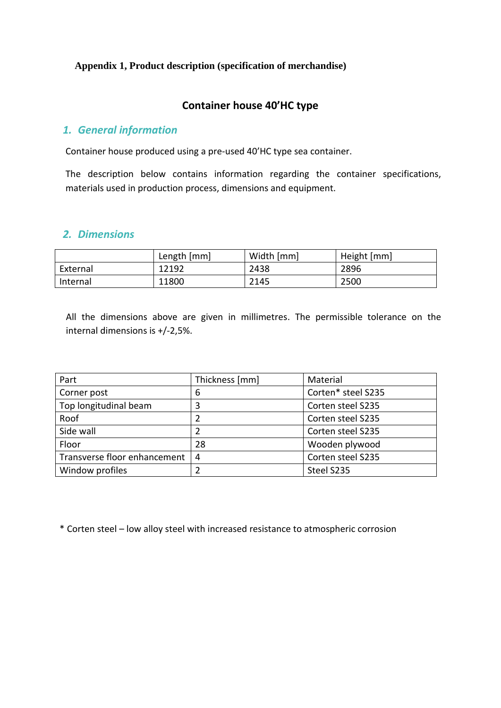#### **Appendix 1, Product description (specification of merchandise)**

### **Container house 40'HC type**

#### *1. General information*

Container house produced using a pre-used 40'HC type sea container.

The description below contains information regarding the container specifications, materials used in production process, dimensions and equipment.

#### *2. Dimensions*

|          | Length [mm] | Width [mm] | Height [mm] |
|----------|-------------|------------|-------------|
| External | 12192       | 2438       | 2896        |
| Internal | 11800       | 2145       | 2500        |

All the dimensions above are given in millimetres. The permissible tolerance on the internal dimensions is +/-2,5%.

| Part                         | Thickness [mm]         | Material           |  |
|------------------------------|------------------------|--------------------|--|
| Corner post                  | 6                      | Corten* steel S235 |  |
| Top longitudinal beam        | Corten steel S235<br>3 |                    |  |
| Roof                         |                        | Corten steel S235  |  |
| Side wall                    |                        | Corten steel S235  |  |
| Floor                        | 28                     | Wooden plywood     |  |
| Transverse floor enhancement | 4                      | Corten steel S235  |  |
| Window profiles              |                        | Steel S235         |  |

\* Corten steel – low alloy steel with increased resistance to atmospheric corrosion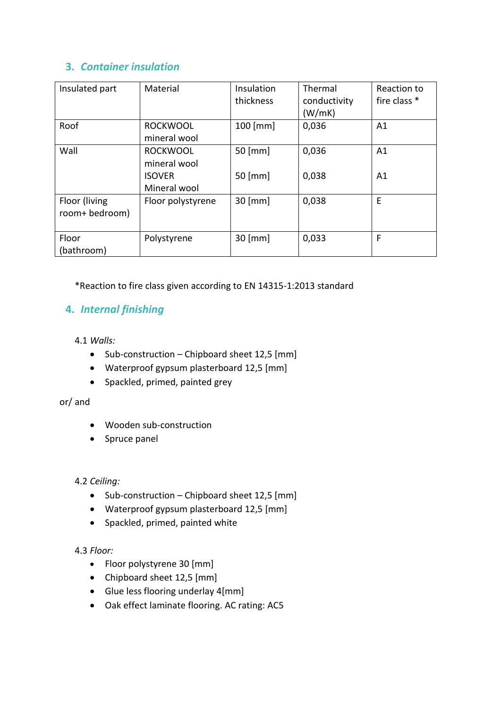# **3.** *Container insulation*

| Insulated part                  | Material                                         | Insulation<br>thickness | Thermal<br>conductivity<br>(W/mK) | Reaction to<br>fire class * |
|---------------------------------|--------------------------------------------------|-------------------------|-----------------------------------|-----------------------------|
| Roof                            | <b>ROCKWOOL</b><br>mineral wool                  | $100$ [mm]              | 0,036                             | A1                          |
| Wall                            | <b>ROCKWOOL</b><br>mineral wool<br><b>ISOVER</b> | $50$ [mm]<br>$50$ [mm]  | 0,036<br>0,038                    | A1<br>A1                    |
|                                 | Mineral wool                                     |                         |                                   |                             |
| Floor (living<br>room+ bedroom) | Floor polystyrene                                | 30 [mm]                 | 0,038                             | E                           |
| Floor<br>(bathroom)             | Polystyrene                                      | 30 [mm]                 | 0,033                             | F                           |

\*Reaction to fire class given according to EN 14315-1:2013 standard

# **4.** *Internal finishing*

4.1 *Walls:*

- Sub-construction Chipboard sheet 12,5 [mm]
- Waterproof gypsum plasterboard 12,5 [mm]
- Spackled, primed, painted grey

### or/ and

- Wooden sub-construction
- Spruce panel

### 4.2 *Ceiling:*

- Sub-construction Chipboard sheet 12,5 [mm]
- Waterproof gypsum plasterboard 12,5 [mm]
- Spackled, primed, painted white

### 4.3 *Floor:*

- Floor polystyrene 30 [mm]
- Chipboard sheet 12,5 [mm]
- Glue less flooring underlay 4[mm]
- Oak effect laminate flooring. AC rating: AC5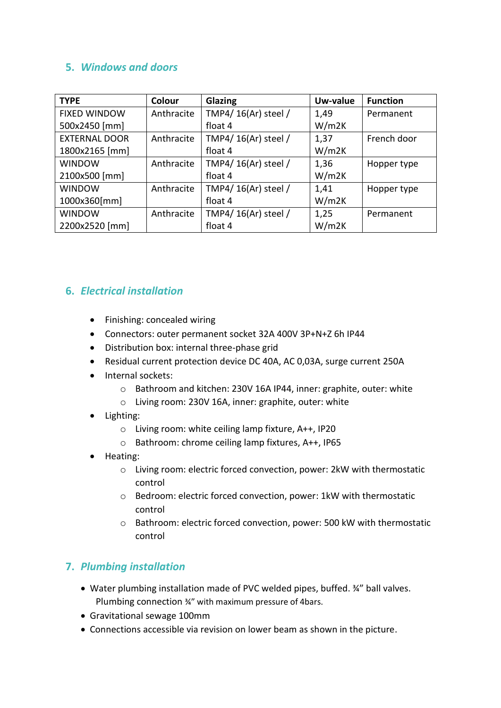# **5.** *Windows and doors*

| <b>TYPE</b>          | Colour     | Glazing              | Uw-value | <b>Function</b> |
|----------------------|------------|----------------------|----------|-----------------|
| <b>FIXED WINDOW</b>  | Anthracite | TMP4/ 16(Ar) steel / | 1,49     | Permanent       |
| 500x2450 [mm]        |            | float 4              | W/m2K    |                 |
| <b>EXTERNAL DOOR</b> | Anthracite | TMP4/ 16(Ar) steel / | 1,37     | French door     |
| 1800x2165 [mm]       |            | float 4              | W/m2K    |                 |
| <b>WINDOW</b>        | Anthracite | TMP4/ 16(Ar) steel / | 1,36     | Hopper type     |
| 2100x500 [mm]        |            | float 4              | W/m2K    |                 |
| <b>WINDOW</b>        | Anthracite | TMP4/ 16(Ar) steel / | 1,41     | Hopper type     |
| 1000x360[mm]         |            | float 4              | W/m2K    |                 |
| <b>WINDOW</b>        | Anthracite | TMP4/ 16(Ar) steel / | 1,25     | Permanent       |
| 2200x2520 [mm]       |            | float 4              | W/m2K    |                 |

# **6.** *Electrical installation*

- Finishing: concealed wiring
- Connectors: outer permanent socket 32A 400V 3P+N+Z 6h IP44
- Distribution box: internal three-phase grid
- Residual current protection device DC 40A, AC 0,03A, surge current 250A
- Internal sockets:
	- o Bathroom and kitchen: 230V 16A IP44, inner: graphite, outer: white
	- o Living room: 230V 16A, inner: graphite, outer: white
- Lighting:
	- o Living room: white ceiling lamp fixture, A++, IP20
	- o Bathroom: chrome ceiling lamp fixtures, A++, IP65
- Heating:
	- o Living room: electric forced convection, power: 2kW with thermostatic control
	- o Bedroom: electric forced convection, power: 1kW with thermostatic control
	- o Bathroom: electric forced convection, power: 500 kW with thermostatic control

### **7.** *Plumbing installation*

- Water plumbing installation made of PVC welded pipes, buffed. ¾" ball valves. Plumbing connection ¾" with maximum pressure of 4bars.
- Gravitational sewage 100mm
- Connections accessible via revision on lower beam as shown in the picture.